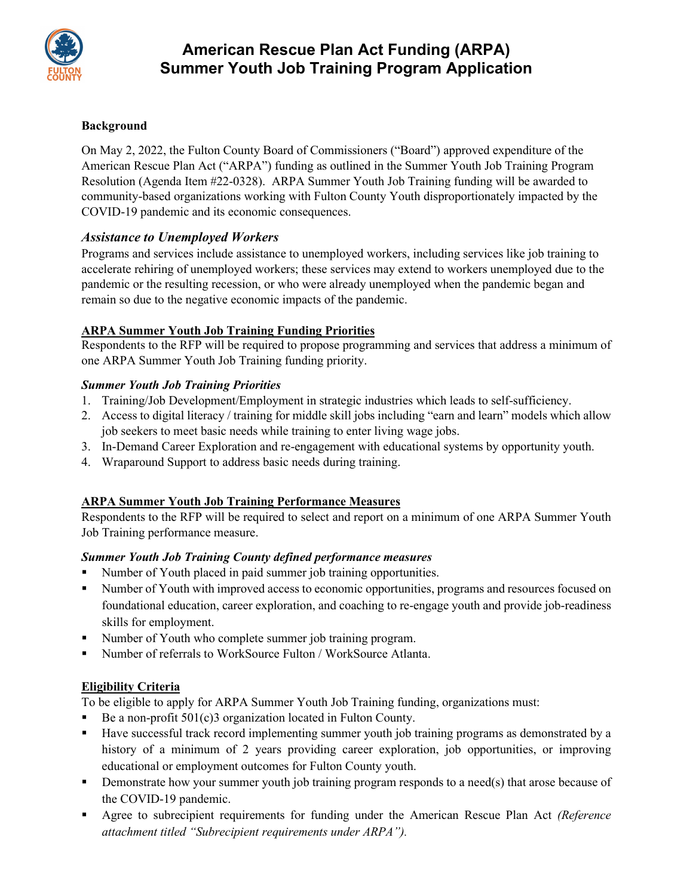

## **Background**

On May 2, 2022, the Fulton County Board of Commissioners ("Board") approved expenditure of the American Rescue Plan Act ("ARPA") funding as outlined in the Summer Youth Job Training Program Resolution (Agenda Item #22-0328). ARPA Summer Youth Job Training funding will be awarded to community-based organizations working with Fulton County Youth disproportionately impacted by the COVID-19 pandemic and its economic consequences.

# *Assistance to Unemployed Workers*

Programs and services include assistance to unemployed workers, including services like job training to accelerate rehiring of unemployed workers; these services may extend to workers unemployed due to the pandemic or the resulting recession, or who were already unemployed when the pandemic began and remain so due to the negative economic impacts of the pandemic.

## **ARPA Summer Youth Job Training Funding Priorities**

Respondents to the RFP will be required to propose programming and services that address a minimum of one ARPA Summer Youth Job Training funding priority.

### *Summer Youth Job Training Priorities*

- 1. Training/Job Development/Employment in strategic industries which leads to self-sufficiency.
- 2. Access to digital literacy / training for middle skill jobs including "earn and learn" models which allow job seekers to meet basic needs while training to enter living wage jobs.
- 3. In-Demand Career Exploration and re-engagement with educational systems by opportunity youth.
- 4. Wraparound Support to address basic needs during training.

# **ARPA Summer Youth Job Training Performance Measures**

Respondents to the RFP will be required to select and report on a minimum of one ARPA Summer Youth Job Training performance measure.

### *Summer Youth Job Training County defined performance measures*

- Number of Youth placed in paid summer job training opportunities.
- Number of Youth with improved access to economic opportunities, programs and resources focused on foundational education, career exploration, and coaching to re-engage youth and provide job-readiness skills for employment.
- Number of Youth who complete summer job training program.
- Number of referrals to WorkSource Fulton / WorkSource Atlanta.

# **Eligibility Criteria**

To be eligible to apply for ARPA Summer Youth Job Training funding, organizations must:

- Be a non-profit 501(c)3 organization located in Fulton County.
- Have successful track record implementing summer youth job training programs as demonstrated by a history of a minimum of 2 years providing career exploration, job opportunities, or improving educational or employment outcomes for Fulton County youth.
- **•** Demonstrate how your summer youth job training program responds to a need(s) that arose because of the COVID-19 pandemic.
- Agree to subrecipient requirements for funding under the American Rescue Plan Act *(Reference attachment titled "Subrecipient requirements under ARPA").*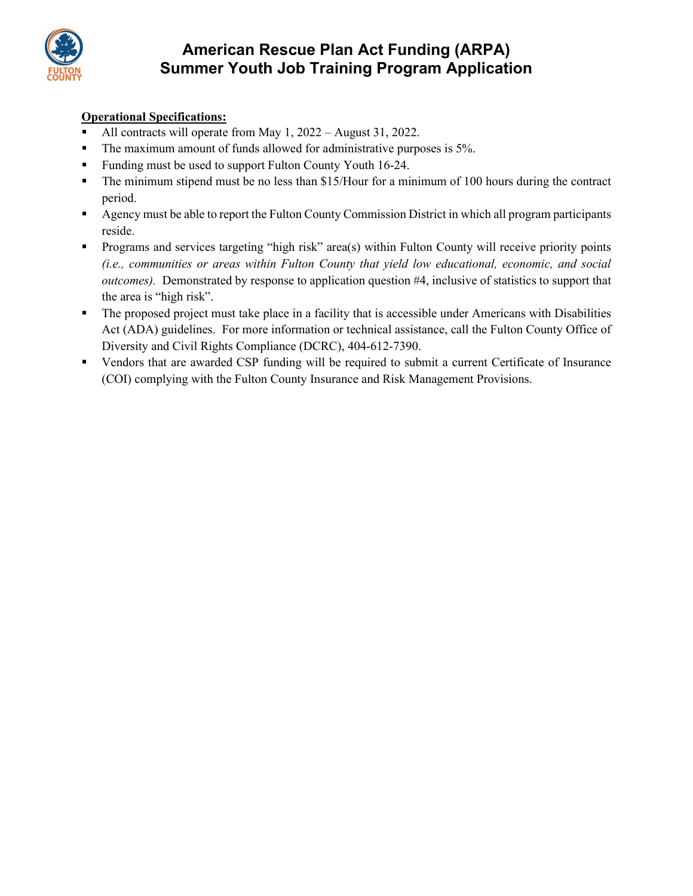

# **Operational Specifications:**

- All contracts will operate from May 1, 2022 August 31, 2022.
- The maximum amount of funds allowed for administrative purposes is 5%.
- Funding must be used to support Fulton County Youth 16-24.
- The minimum stipend must be no less than \$15/Hour for a minimum of 100 hours during the contract period.
- Agency must be able to report the Fulton County Commission District in which all program participants reside.
- Programs and services targeting "high risk" area(s) within Fulton County will receive priority points *(i.e., communities or areas within Fulton County that yield low educational, economic, and social outcomes).* Demonstrated by response to application question #4, inclusive of statistics to support that the area is "high risk".
- The proposed project must take place in a facility that is accessible under Americans with Disabilities Act (ADA) guidelines. For more information or technical assistance, call the Fulton County Office of Diversity and Civil Rights Compliance (DCRC), 404-612-7390.
- Vendors that are awarded CSP funding will be required to submit a current Certificate of Insurance (COI) complying with the Fulton County Insurance and Risk Management Provisions.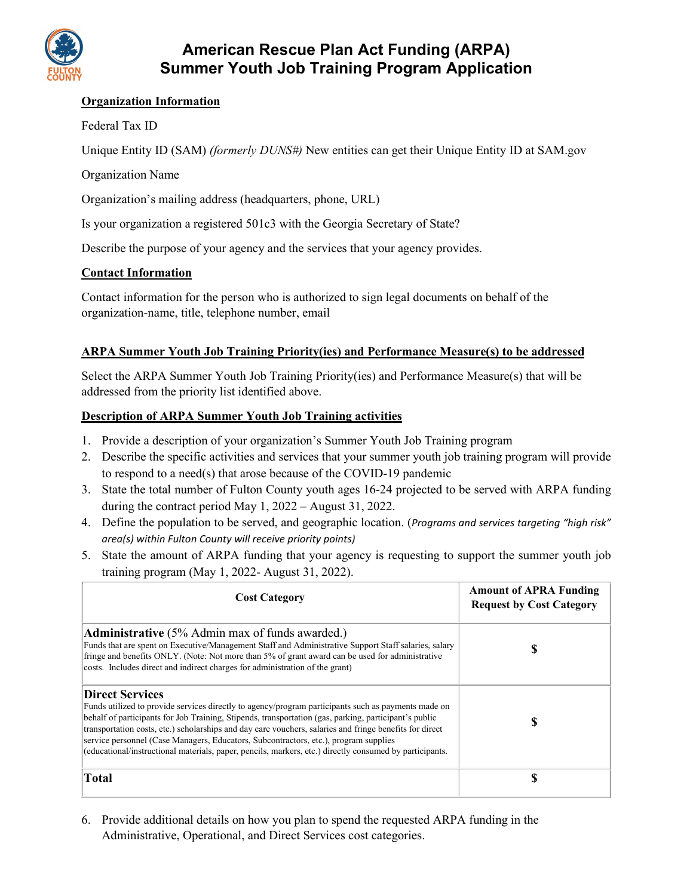

## **Organization Information**

## Federal Tax ID

Unique Entity ID (SAM) *(formerly DUNS#)* New entities can get their Unique Entity ID at SAM.gov

## Organization Name

Organization's mailing address (headquarters, phone, URL)

Is your organization a registered 501c3 with the Georgia Secretary of State?

Describe the purpose of your agency and the services that your agency provides.

### **Contact Information**

Contact information for the person who is authorized to sign legal documents on behalf of the organization-name, title, telephone number, email

### **ARPA Summer Youth Job Training Priority(ies) and Performance Measure(s) to be addressed**

Select the ARPA Summer Youth Job Training Priority(ies) and Performance Measure(s) that will be addressed from the priority list identified above.

### **Description of ARPA Summer Youth Job Training activities**

- 1. Provide a description of your organization's Summer Youth Job Training program
- 2. Describe the specific activities and services that your summer youth job training program will provide to respond to a need(s) that arose because of the COVID-19 pandemic
- 3. State the total number of Fulton County youth ages 16-24 projected to be served with ARPA funding during the contract period May 1, 2022 – August 31, 2022.
- 4. Define the population to be served, and geographic location. (*Programs and services targeting "high risk" area(s) within Fulton County will receive priority points)*
- 5. State the amount of ARPA funding that your agency is requesting to support the summer youth job training program (May 1, 2022- August 31, 2022).

| <b>Cost Category</b>                                                                                                                                                                                                                                                                                                                                                                                                                                                                                                                                 | <b>Amount of APRA Funding</b><br><b>Request by Cost Category</b> |
|------------------------------------------------------------------------------------------------------------------------------------------------------------------------------------------------------------------------------------------------------------------------------------------------------------------------------------------------------------------------------------------------------------------------------------------------------------------------------------------------------------------------------------------------------|------------------------------------------------------------------|
| Administrative (5% Admin max of funds awarded.)<br>Funds that are spent on Executive/Management Staff and Administrative Support Staff salaries, salary<br>fringe and benefits ONLY. (Note: Not more than 5% of grant award can be used for administrative<br>costs. Includes direct and indirect charges for administration of the grant)                                                                                                                                                                                                           | D                                                                |
| <b>Direct Services</b><br>Funds utilized to provide services directly to agency/program participants such as payments made on<br>behalf of participants for Job Training, Stipends, transportation (gas, parking, participant's public<br>transportation costs, etc.) scholarships and day care vouchers, salaries and fringe benefits for direct<br>service personnel (Case Managers, Educators, Subcontractors, etc.), program supplies<br>(educational/instructional materials, paper, pencils, markers, etc.) directly consumed by participants. | D                                                                |
| <b>Total</b>                                                                                                                                                                                                                                                                                                                                                                                                                                                                                                                                         |                                                                  |

6. Provide additional details on how you plan to spend the requested ARPA funding in the Administrative, Operational, and Direct Services cost categories.